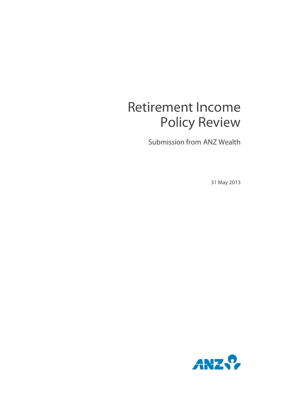# **Retirement Income Policy Review**

Submission from ANZ Wealth

31 May 2013

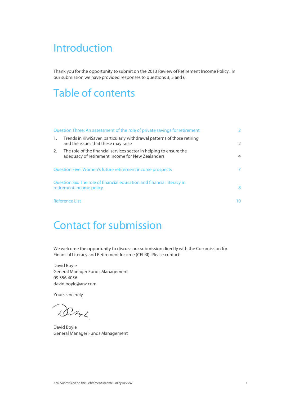# Introduction

Thank you for the opportunity to submit on the 2013 Review of Retirement Income Policy. In our submission we have provided responses to questions 3, 5 and 6.

# **Table of contents**

| Question Three: An assessment of the role of private savings for retirement                         |                                                                                                                        | 2              |
|-----------------------------------------------------------------------------------------------------|------------------------------------------------------------------------------------------------------------------------|----------------|
| 1.                                                                                                  | Trends in KiwiSaver, particularly withdrawal patterns of those retiring<br>and the issues that these may raise         | 2              |
| 2.                                                                                                  | The role of the financial services sector in helping to ensure the<br>adequacy of retirement income for New Zealanders | $\overline{4}$ |
| Question Five: Women's future retirement income prospects                                           |                                                                                                                        | 7              |
| Question Six: The role of financial education and financial literacy in<br>retirement income policy |                                                                                                                        | 8              |
| <b>Reference List</b>                                                                               |                                                                                                                        | 10             |

# **Contact for submission**

We welcome the opportunity to discuss our submission directly with the Commission for Financial Literacy and Retirement Income (CFLRI). Please contact:

David Boyle General Manager Funds Management 09 356 4056 david.boyle@anz.com

Yours sincerely

Days

David Boyle General Manager Funds Management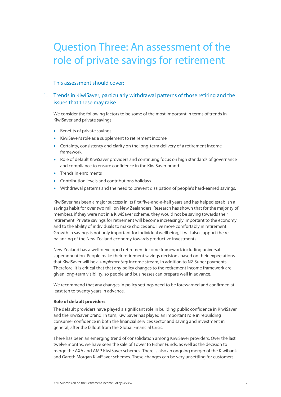# Question Three: An assessment of the role of private savings for retirement

## This assessment should cover:

## 1. Trends in KiwiSaver, particularly withdrawal patterns of those retiring and the issues that these may raise

We consider the following factors to be some of the most important in terms of trends in KiwiSaver and private savings:

- Benefits of private savings
- KiwiSaver's role as a supplement to retirement income
- Certainty, consistency and clarity on the long-term delivery of a retirement income framework
- Role of default KiwiSaver providers and continuing focus on high standards of governance and compliance to ensure confidence in the KiwiSaver brand
- Trends in enrolments
- Contribution levels and contributions holidays
- Withdrawal patterns and the need to prevent dissipation of people's hard-earned savings.

KiwiSaver has been a major success in its first five-and-a-half years and has helped establish a savings habit for over two million New Zealanders. Research has shown that for the majority of members, if they were not in a KiwiSaver scheme, they would not be saving towards their retirement. Private savings for retirement will become increasingly important to the economy and to the ability of individuals to make choices and live more comfortably in retirement. Growth in savings is not only important for individual wellbeing, it will also support the rebalancing of the New Zealand economy towards productive investments.

New Zealand has a well-developed retirement income framework including universal superannuation. People make their retirement savings decisions based on their expectations that KiwiSaver will be a *supplementary* income stream, in addition to NZ Super payments. Therefore, it is critical that that any policy changes to the retirement income framework are given long-term visibility, so people and businesses can prepare well in advance.

We recommend that any changes in policy settings need to be forewarned and confirmed at least ten to twenty years in advance.

## **Role of default providers**

The default providers have played a significant role in building public confidence in KiwiSaver and the KiwiSaver brand. In turn, KiwiSaver has played an important role in rebuilding consumer confidence in both the financial services sector and saving and investment in general, after the fallout from the Global Financial Crisis.

There has been an emerging trend of consolidation among KiwiSaver providers. Over the last twelve months, we have seen the sale of Tower to Fisher Funds, as well as the decision to merge the AXA and AMP KiwiSaver schemes. There is also an ongoing merger of the Kiwibank and Gareth Morgan KiwiSaver schemes. These changes can be very unsettling for customers.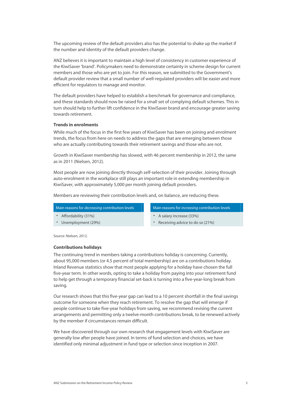The upcoming review of the default providers also has the potential to shake up the market if the number and identity of the default providers change.

ANZ believes it is important to maintain a high level of consistency in customer experience of the KiwiSaver 'brand'. Policymakers need to demonstrate certainty in scheme design for current members and those who are yet to join. For this reason, we submitted to the Government's default provider review that a small number of well-regulated providers will be easier and more efficient for regulators to manage and monitor.

The default providers have helped to establish a benchmark for governance and compliance, and these standards should now be raised for a small set of complying default schemes. This in turn should help to further lift confidence in the KiwiSaver brand and encourage greater saving towards retirement.

### **Trends in enrolments**

While much of the focus in the first few years of KiwiSaver has been on joining and enrolment trends, the focus from here on needs to address the gaps that are emerging between those who are actually contributing towards their retirement savings and those who are not.

Growth in KiwiSaver membership has slowed, with 46 percent membership in 2012, the same as in 2011 (Nielsen, 2012).

Most people are now joining directly through self-selection of their provider. Joining through auto-enrolment in the workplace still plays an important role in extending membership in KiwiSaver, with approximately 5,000 per month joining default providers.

Members are reviewing their contribution levels and, on balance, are reducing these.

### Main reasons for *decreasing* contribution levels Main reasons for *increasing* contribution levels

- Affordability (31%)
- Unemployment (29%)

- A salary increase (33%)
- Receiving advice to do so (21%)

Source: Nielsen, 2012.

## **Contributions holidays**

The continuing trend in members taking a contributions holiday is concerning. Currently, about 95,000 members (or 4.5 percent of total membership) are on a contributions holiday. Inland Revenue statistics show that most people applying for a holiday have chosen the full five-year term. In other words, opting to take a holiday from paying into your retirement fund to help get through a temporary financial set-back is turning into a five-year-long break from saving.

Our research shows that this five-year gap can lead to a 10 percent shortfall in the final savings outcome for someone when they reach retirement. To resolve the gap that will emerge if people continue to take five-year holidays from saving, we recommend revising the current arrangements and permitting only a twelve-month contributions break, to be renewed actively by the member if circumstances remain difficult.

We have discovered through our own research that engagement levels with KiwiSaver are generally low after people have joined. In terms of fund selection and choices, we have identified only minimal adjustment in fund type or selection since inception in 2007.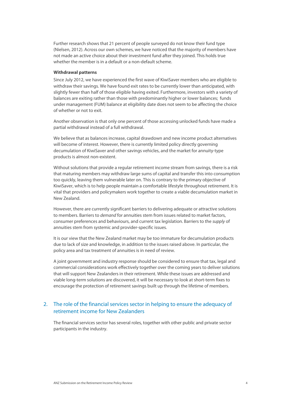Further research shows that 21 percent of people surveyed do not know their fund type (Nielsen, 2012). Across our own schemes, we have noticed that the majority of members have not made an active choice about their investment fund after they joined. This holds true whether the member is in a default or a non-default scheme.

### **Withdrawal patterns**

Since July 2012, we have experienced the first wave of KiwiSaver members who are eligible to withdraw their savings. We have found exit rates to be currently lower than anticipated, with slightly fewer than half of those eligible having exited. Furthermore, investors with a variety of balances are exiting rather than those with predominantly higher or lower balances; funds under management (FUM) balance at eligibility date does not seem to be affecting the choice of whether or not to exit.

Another observation is that only one percent of those accessing unlocked funds have made a partial withdrawal instead of a full withdrawal.

We believe that as balances increase, capital drawdown and new income product alternatives will become of interest. However, there is currently limited policy directly governing decumulation of KiwiSaver and other savings vehicles, and the market for annuity-type products is almost non-existent.

Without solutions that provide a regular retirement income stream from savings, there is a risk that maturing members may withdraw large sums of capital and transfer this into consumption too quickly, leaving them vulnerable later on. This is contrary to the primary objective of KiwiSaver, which is to help people maintain a comfortable lifestyle throughout retirement. It is vital that providers and policymakers work together to create a viable decumulation market in New Zealand.

However, there are currently significant barriers to delivering adequate or attractive solutions to members. Barriers to *demand* for annuities stem from issues related to market factors, consumer preferences and behaviours, and current tax legislation. Barriers to the supply of annuities stem from systemic and provider-specific issues.

It is our view that the New Zealand market may be too immature for decumulation products due to lack of size and knowledge, in addition to the issues raised above. In particular, the policy area and tax treatment of annuities is in need of review.

A joint government and industry response should be considered to ensure that tax, legal and commercial considerations work effectively together over the coming years to deliver solutions that will support New Zealanders in their retirement. While these issues are addressed and viable long-term solutions are discovered, it will be necessary to look at short-term fixes to encourage the protection of retirement savings built up through the lifetime of members.

## 2. The role of the financial services sector in helping to ensure the adequacy of retirement income for New Zealanders

The financial services sector has several roles, together with other public and private sector participants in the industry.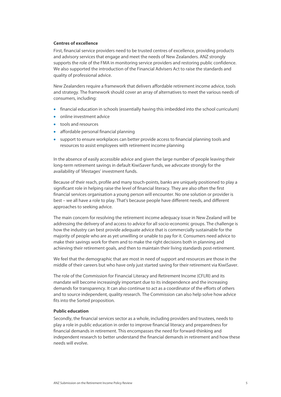## **Centres of excellence**

First, financial service providers need to be trusted centres of excellence, providing products and advisory services that engage and meet the needs of New Zealanders. ANZ strongly supports the role of the FMA in monitoring service providers and restoring public confidence. We also supported the introduction of the Financial Advisers Act to raise the standards and quality of professional advice.

New Zealanders require a framework that delivers affordable retirement income advice, tools and strategy. The framework should cover an array of alternatives to meet the various needs of consumers, including:

- financial education in schools (essentially having this imbedded into the school curriculum)
- online investment advice
- tools and resources
- affordable personal financial planning
- support to ensure workplaces can better provide access to financial planning tools and resources to assist employees with retirement income planning

In the absence of easily accessible advice and given the large number of people leaving their long-term retirement savings in default KiwiSaver funds, we advocate strongly for the availability of 'lifestages' investment funds.

Because of their reach, profile and many touch-points, banks are uniquely positioned to play a significant role in helping raise the level of financial literacy. They are also often the first financial services organisation a young person will encounter. No one solution or provider is best – we all have a role to play. That's because people have different needs, and different approaches to seeking advice.

The main concern for resolving the retirement income adequacy issue in New Zealand will be addressing the delivery of and access to advice for all socio-economic groups. The challenge is how the industry can best provide adequate advice that is commercially sustainable for the majority of people who are as yet unwilling or unable to pay for it. Consumers need advice to make their savings work for them and to make the right decisions both in planning and achieving their retirement goals, and then to maintain their living standards post-retirement.

We feel that the demographic that are most in need of support and resources are those in the middle of their careers but who have only just started saving for their retirement via KiwiSaver.

The role of the Commission for Financial Literacy and Retirement Income (CFLRI) and its mandate will become increasingly important due to its independence and the increasing demands for transparency. It can also continue to act as a coordinator of the efforts of others and to source independent, quality research. The Commission can also help solve how advice fits into the Sorted proposition.

## **Public education**

Secondly, the financial services sector as a whole, including providers and trustees, needs to play a role in public education in order to improve financial literacy and preparedness for financial demands in retirement. This encompasses the need for forward-thinking and independent research to better understand the financial demands in retirement and how these needs will evolve.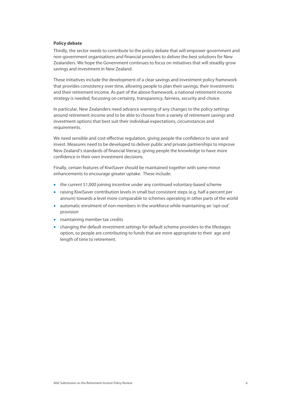## **Policy debate**

Thirdly, the sector needs to contribute to the policy debate that will empower government and non-government organisations and financial providers to deliver the best solutions for New Zealanders. We hope the Government continues to focus on initiatives that will steadily grow savings and investment in New Zealand.

These initiatives include the development of a clear savings and investment policy framework that provides consistency over time, allowing people to plan their savings, their investments and their retirement income. As part of the above framework, a national retirement income strategy is needed, focussing on certainty, transparency, fairness, security and choice.

In particular, New Zealanders need advance warning of any changes to the policy settings around retirement income and to be able to choose from a variety of retirement savings and investment options that best suit their individual expectations, circumstances and requirements.

We need sensible and cost-effective regulation, giving people the confidence to save and invest. Measures need to be developed to deliver public and private partnerships to improve New Zealand's standards of financial literacy, giving people the knowledge to have more confidence in their own investment decisions.

Finally, certain features of KiwiSaver should be maintained together with some minor enhancements to encourage greater uptake. These include:

- the current \$1,000 joining incentive under any continued voluntary-based scheme
- raising KiwiSaver contribution levels in small but consistent steps (e.g. half a percent per annum) towards a level more comparable to schemes operating in other parts of the world
- automatic enrolment of non-members in the workforce while maintaining an 'opt-out' provision
- maintaining member tax credits
- changing the default investment settings for default scheme providers to the lifestages option, so people are contributing to funds that are more appropriate to their age and length of time to retirement.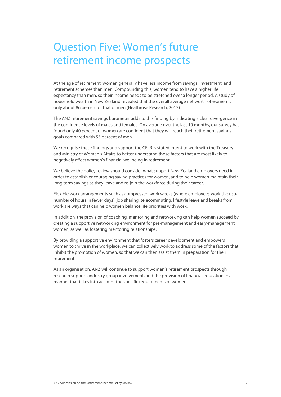# Question Five: Women's future retirement income prospects

At the age of retirement, women generally have less income from savings, investment, and retirement schemes than men. Compounding this, women tend to have a higher life expectancy than men, so their income needs to be stretched over a longer period. A study of household wealth in New Zealand revealed that the overall average net worth of women is only about 86 percent of that of men (Heathrose Research, 2012).

The ANZ retirement savings barometer adds to this finding by indicating a clear divergence in the confidence levels of males and females. On average over the last 10 months, our survey has found only 40 percent of women are confident that they will reach their retirement savings goals compared with 55 percent of men.

We recognise these findings and support the CFLRI's stated intent to work with the Treasury and Ministry of Women's Affairs to better understand those factors that are most likely to negatively affect women's financial wellbeing in retirement.

We believe the policy review should consider what support New Zealand employers need in order to establish encouraging saving practices for women, and to help women maintain their long term savings as they leave and re-join the workforce during their career.

Flexible work arrangements such as compressed work weeks (where employees work the usual number of hours in fewer days), job sharing, telecommuting, lifestyle leave and breaks from work are ways that can help women balance life priorities with work.

In addition, the provision of coaching, mentoring and networking can help women succeed by creating a supportive networking environment for pre-management and early-management women, as well as fostering mentoring relationships.

By providing a supportive environment that fosters career development and empowers women to thrive in the workplace, we can collectively work to address some of the factors that inhibit the promotion of women, so that we can then assist them in preparation for their retirement.

As an organisation, ANZ will continue to support women's retirement prospects through research support, industry group involvement, and the provision of financial education in a manner that takes into account the specific requirements of women.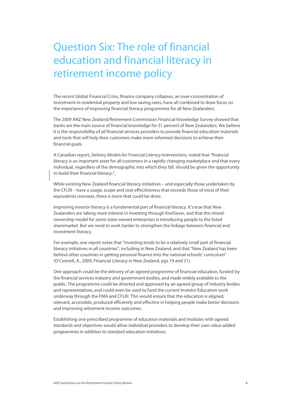# Question Six: The role of financial education and financial literacy in retirement income policy

The recent Global Financial Crisis, finance company collapses, an over-concentration of investment in residential property and low saving rates, have all combined to draw focus on the importance of improving financial literacy programmes for all New Zealanders.

The 2009 ANZ New Zealand/Retirement Commission Financial Knowledge Survey showed that banks are the main source of financial knowledge for 51 percent of New Zealanders. We believe it is the responsibility of all financial services providers to provide financial education materials and tools that will help their customers make more-informed decisions to achieve their financial goals.

A Canadian report, Delivery Models for Financial Literacy Interventions, noted that "financial literacy is an important asset for all customers in a rapidly changing marketplace and that every individual, regardless of the demographic into which they fall, should be given the opportunity to build their financial literacy.".

While existing New Zealand financial literacy initiatives – and especially those undertaken by the CFLRI – have a usage, scope and cost-effectiveness that exceeds those of most of their equivalents overseas, there is more that could be done.

Improving investor literacy is a fundamental part of financial literacy. It's true that New Zealanders are taking more interest in investing through KiwiSaver, and that the mixedownership model for some state-owned enterprises is introducing people to the listed sharemarket. But we need to work harder to strengthen the linkage between financial and investment literacy.

For example, one report notes that "investing tends to be a relatively small part of financial literacy initiatives in all countries", including in New Zealand, and that "New Zealand has been behind other countries in getting personal finance into the national schools' curriculum" (O'Connell, A., 2009, Financial Literacy in New Zealand, pgs 19 and 21).

One approach could be the delivery of an agreed programme of financial education, funded by the financial services industry and government bodies, and made widely available to the public. The programme could be directed and approved by an agreed group of industry bodies and representatives, and could even be used to fund the current Investor Education work underway through the FMA and CFLRI. This would ensure that the education is aligned, relevant, accessible, produced efficiently and effective in helping people make better decisions and improving retirement income outcomes.

Establishing one prescribed programme of education materials and modules with agreed standards and objectives would allow individual providers to develop their own value-added programmes in addition to standard education initiatives.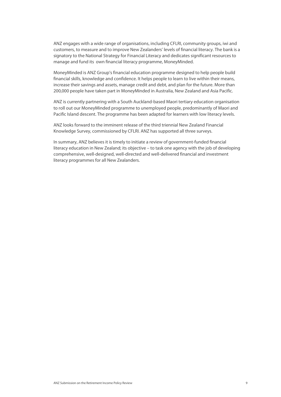ANZ engages with a wide range of organisations, including CFLRI, community groups, iwi and customers, to measure and to improve New Zealanders' levels of financial literacy. The bank is a signatory to the National Strategy for Financial Literacy and dedicates significant resources to manage and fund its own financial literacy programme, MoneyMinded.

MoneyMinded is ANZ Group's financial education programme designed to help people build financial skills, knowledge and confidence. It helps people to learn to live within their means, increase their savings and assets, manage credit and debt, and plan for the future. More than 200,000 people have taken part in MoneyMinded in Australia, New Zealand and Asia Pacific.

ANZ is currently partnering with a South Auckland-based Maori tertiary education organisation to roll out our MoneyMinded programme to unemployed people, predominantly of Maori and Pacific Island descent. The programme has been adapted for learners with low literacy levels.

ANZ looks forward to the imminent release of the third triennial New Zealand Financial Knowledge Survey, commissioned by CFLRI. ANZ has supported all three surveys.

In summary, ANZ believes it is timely to initiate a review of government-funded financial literacy education in New Zealand; its objective – to task one agency with the job of developing comprehensive, well-designed, well-directed and well-delivered financial and investment literacy programmes for all New Zealanders.